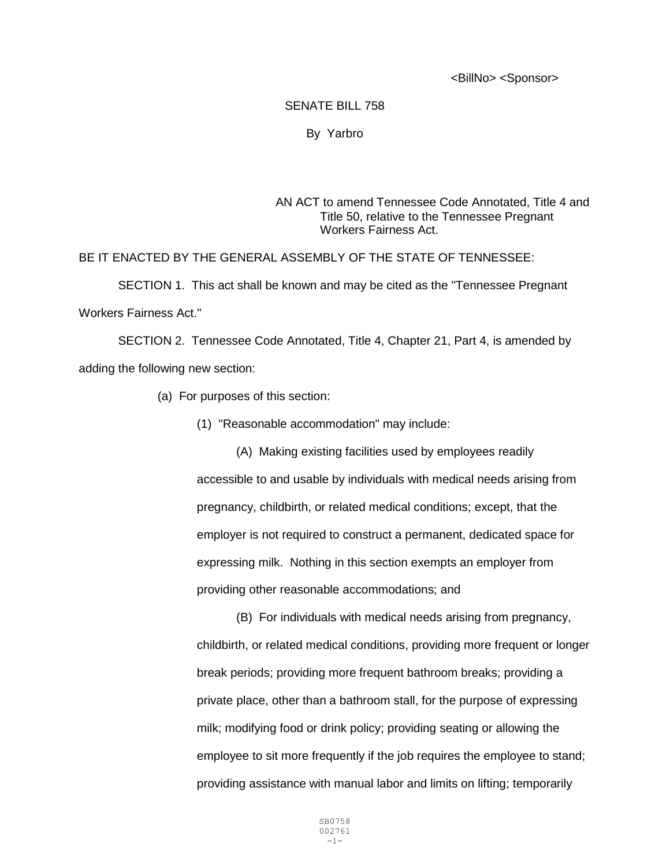<BillNo> <Sponsor>

## SENATE BILL 758

## By Yarbro

## AN ACT to amend Tennessee Code Annotated, Title 4 and Title 50, relative to the Tennessee Pregnant Workers Fairness Act.

## BE IT ENACTED BY THE GENERAL ASSEMBLY OF THE STATE OF TENNESSEE:

SECTION 1. This act shall be known and may be cited as the "Tennessee Pregnant Workers Fairness Act."

SECTION 2. Tennessee Code Annotated, Title 4, Chapter 21, Part 4, is amended by adding the following new section:

- (a) For purposes of this section:
	- (1) "Reasonable accommodation" may include:

(A) Making existing facilities used by employees readily accessible to and usable by individuals with medical needs arising from pregnancy, childbirth, or related medical conditions; except, that the employer is not required to construct a permanent, dedicated space for expressing milk. Nothing in this section exempts an employer from providing other reasonable accommodations; and

(B) For individuals with medical needs arising from pregnancy, childbirth, or related medical conditions, providing more frequent or longer break periods; providing more frequent bathroom breaks; providing a private place, other than a bathroom stall, for the purpose of expressing milk; modifying food or drink policy; providing seating or allowing the employee to sit more frequently if the job requires the employee to stand; providing assistance with manual labor and limits on lifting; temporarily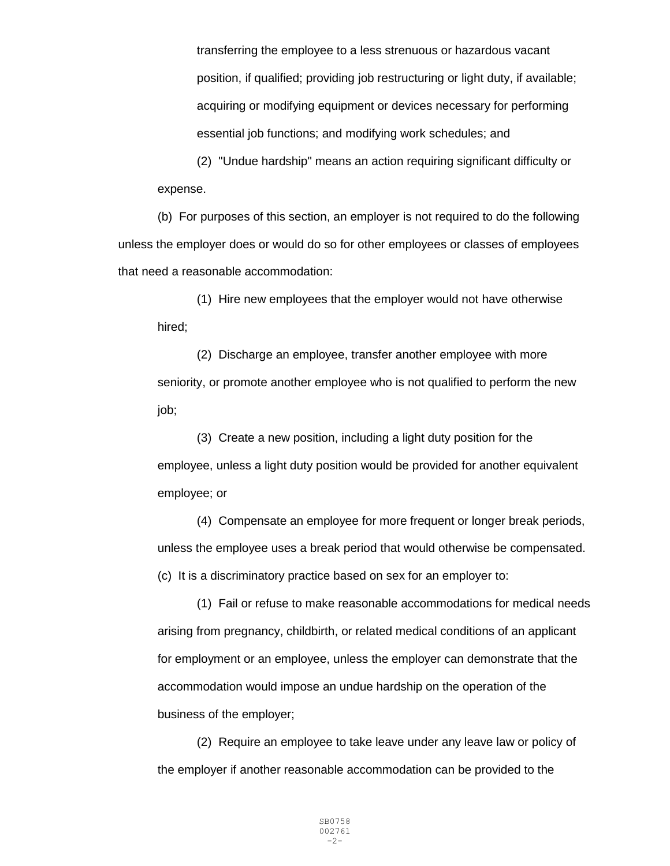transferring the employee to a less strenuous or hazardous vacant position, if qualified; providing job restructuring or light duty, if available; acquiring or modifying equipment or devices necessary for performing essential job functions; and modifying work schedules; and

(2) "Undue hardship" means an action requiring significant difficulty or expense.

(b) For purposes of this section, an employer is not required to do the following unless the employer does or would do so for other employees or classes of employees that need a reasonable accommodation:

(1) Hire new employees that the employer would not have otherwise hired;

(2) Discharge an employee, transfer another employee with more seniority, or promote another employee who is not qualified to perform the new job;

(3) Create a new position, including a light duty position for the employee, unless a light duty position would be provided for another equivalent employee; or

(4) Compensate an employee for more frequent or longer break periods, unless the employee uses a break period that would otherwise be compensated. (c) It is a discriminatory practice based on sex for an employer to:

(1) Fail or refuse to make reasonable accommodations for medical needs arising from pregnancy, childbirth, or related medical conditions of an applicant for employment or an employee, unless the employer can demonstrate that the accommodation would impose an undue hardship on the operation of the business of the employer;

(2) Require an employee to take leave under any leave law or policy of the employer if another reasonable accommodation can be provided to the